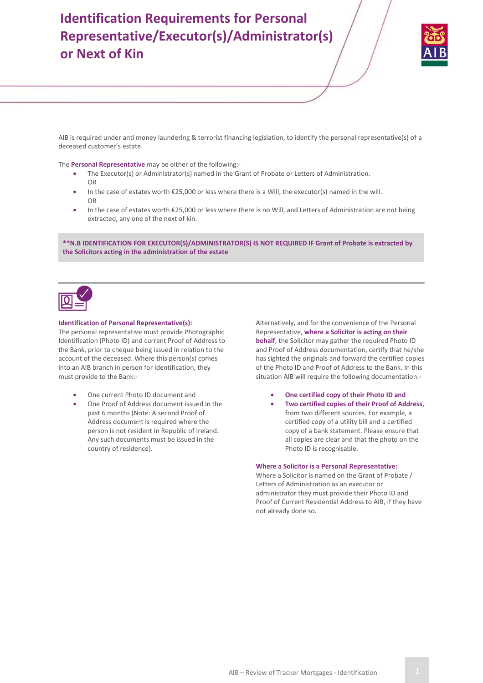# **Identification Requirements for Personal Representative/Executor(s)/Administrator(s) or Next of Kin**



AIB is required under anti money laundering & terrorist financing legislation, to identify the personal representative(s) of a deceased customer's estate.

The **Personal Representative** may be either of the following:-

- The Executor(s) or Administrator(s) named in the Grant of Probate or Letters of Administration. OR
- In the case of estates worth €25,000 or less where there is a Will, the executor(s) named in the will. OR
- In the case of estates worth €25,000 or less where there is no Will, and Letters of Administration are not being extracted, any one of the next of kin.

**\*\*N.B IDENTIFICATION FOR EXECUTOR(S)/ADMINISTRATOR(S) IS NOT REQUIRED IF Grant of Probate is extracted by the Solicitors acting in the administration of the estate**



#### **Identification of Personal Representative(s):**

The personal representative must provide Photographic Identification (Photo ID) and current Proof of Address to the Bank, prior to cheque being issued in relation to the account of the deceased. Where this person(s) comes into an AIB branch in person for identification, they must provide to the Bank:-

- One current Photo ID document and
- One Proof of Address document issued in the past 6 months (Note: A second Proof of Address document is required where the person is not resident in Republic of Ireland. Any such documents must be issued in the country of residence).

Alternatively, and for the convenience of the Personal Representative, **where a Solicitor is acting on their behalf**, the Solicitor may gather the required Photo ID and Proof of Address documentation, certify that he/she has sighted the originals and forward the certified copies of the Photo ID and Proof of Address to the Bank. In this situation AIB will require the following documentation:-

- **One certified copy of their Photo ID and**
- **Two certified copies of their Proof of Address**, from two different sources. For example, a certified copy of a utility bill and a certified copy of a bank statement. Please ensure that all copies are clear and that the photo on the Photo ID is recognisable.

#### **Where a Solicitor is a Personal Representative:**

Where a Solicitor is named on the Grant of Probate / Letters of Administration as an executor or administrator they must provide their Photo ID and Proof of Current Residential Address to AIB, if they have not already done so.